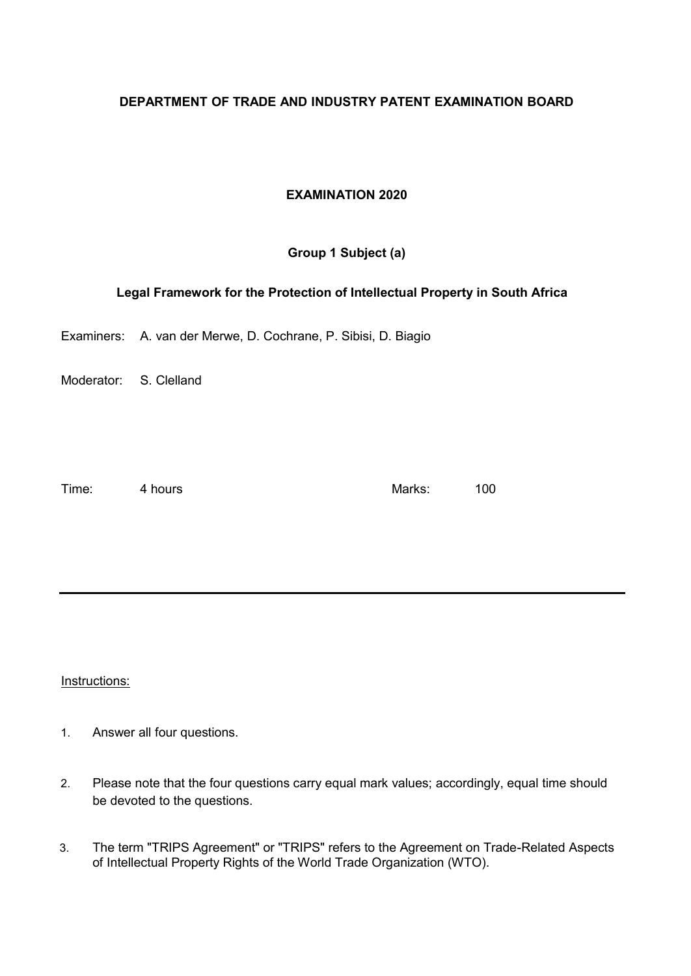### **DEPARTMENT OF TRADE AND INDUSTRY PATENT EXAMINATION BOARD**

## **EXAMINATION 2020**

## **Group 1 Subject (a)**

### **Legal Framework for the Protection of Intellectual Property in South Africa**

Examiners: A. van der Merwe, D. Cochrane, P. Sibisi, D. Biagio

Moderator: S. Clelland

Time: 4 hours and 4 hours and 4 hours and 4 hours and 4 hours and 4 hours and 4 hours and 4 hours and 4 hours and 4 hours and 4 hours and 4 hours and 4 hours and 4 hours and 4 hours and 4 hours and 4 hours and 4 hours and

Instructions:

- 1. Answer all four questions.
- 2. Please note that the four questions carry equal mark values; accordingly, equal time should be devoted to the questions.
- 3. The term "TRIPS Agreement" or "TRIPS" refers to the Agreement on Trade-Related Aspects of Intellectual Property Rights of the World Trade Organization (WTO).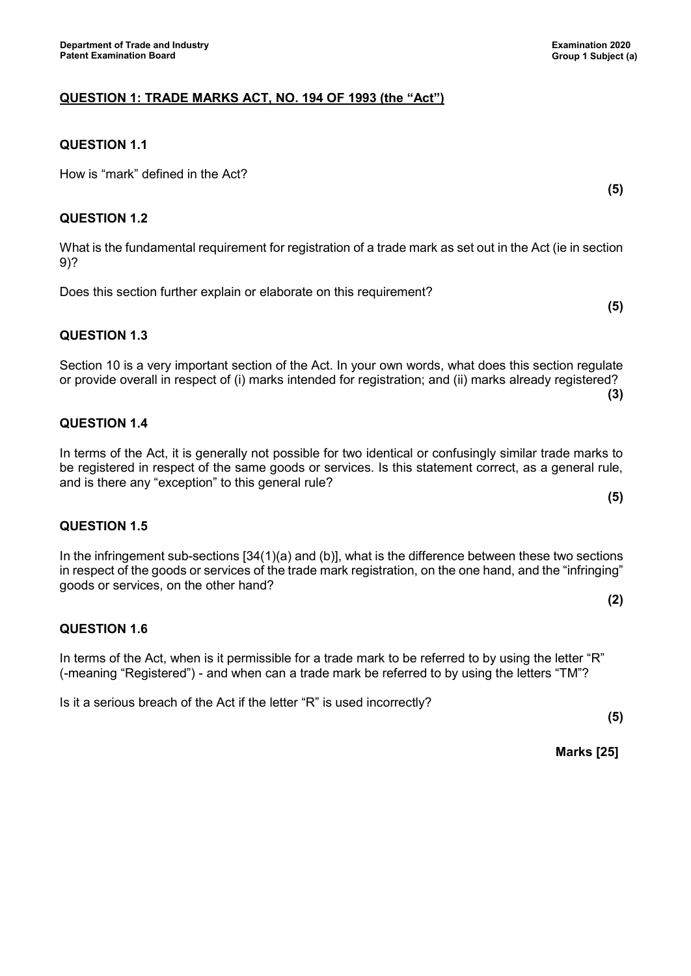# **QUESTION 1.1**

How is "mark" defined in the Act?

## **QUESTION 1.2**

What is the fundamental requirement for registration of a trade mark as set out in the Act (ie in section 9)?

Does this section further explain or elaborate on this requirement?

# **QUESTION 1.3**

Section 10 is a very important section of the Act. In your own words, what does this section regulate or provide overall in respect of (i) marks intended for registration; and (ii) marks already registered? **(3)**

# **QUESTION 1.4**

In terms of the Act, it is generally not possible for two identical or confusingly similar trade marks to be registered in respect of the same goods or services. Is this statement correct, as a general rule, and is there any "exception" to this general rule?

### **QUESTION 1.5**

In the infringement sub-sections [34(1)(a) and (b)], what is the difference between these two sections in respect of the goods or services of the trade mark registration, on the one hand, and the "infringing" goods or services, on the other hand?

### **QUESTION 1.6**

In terms of the Act, when is it permissible for a trade mark to be referred to by using the letter "R" (-meaning "Registered") - and when can a trade mark be referred to by using the letters "TM"?

Is it a serious breach of the Act if the letter "R" is used incorrectly?

**(5)**

**Marks [25]**

**(5)**

**(5)**

**(5)**

**(2)**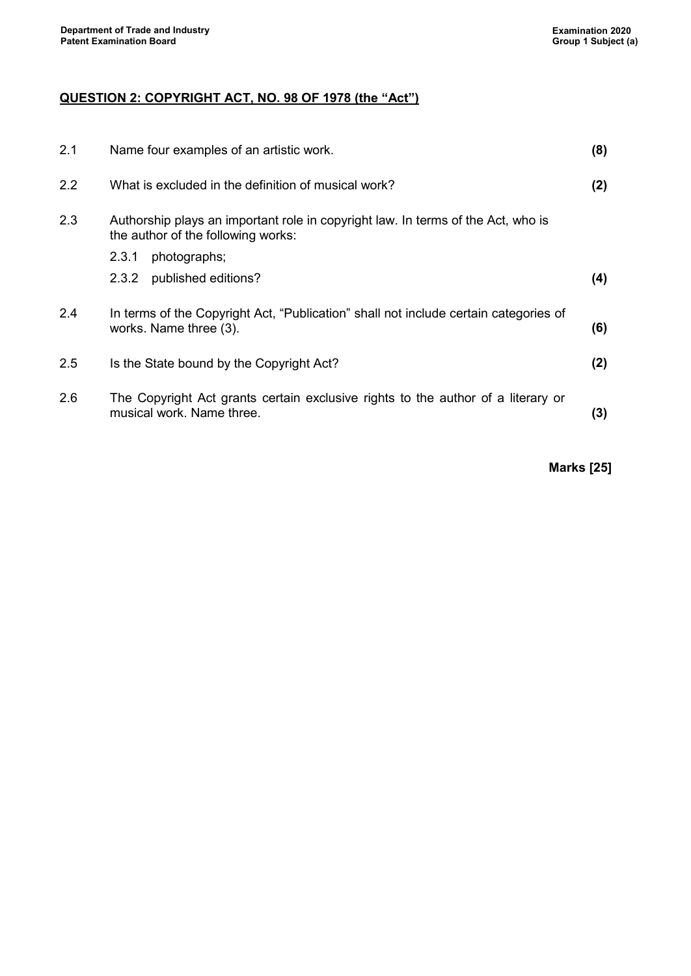# **QUESTION 2: COPYRIGHT ACT, NO. 98 OF 1978 (the "Act")**

| 2.1 | Name four examples of an artistic work.                                                                                | (8) |
|-----|------------------------------------------------------------------------------------------------------------------------|-----|
| 2.2 | What is excluded in the definition of musical work?                                                                    | (2) |
| 2.3 | Authorship plays an important role in copyright law. In terms of the Act, who is<br>the author of the following works: |     |
|     | photographs;<br>2.3.1                                                                                                  |     |
|     | published editions?<br>2.3.2                                                                                           | (4) |
| 2.4 | In terms of the Copyright Act, "Publication" shall not include certain categories of<br>works. Name three (3).         | (6) |
| 2.5 | Is the State bound by the Copyright Act?                                                                               | (2) |
| 2.6 | The Copyright Act grants certain exclusive rights to the author of a literary or<br>musical work. Name three.          | (3) |

**Marks [25]**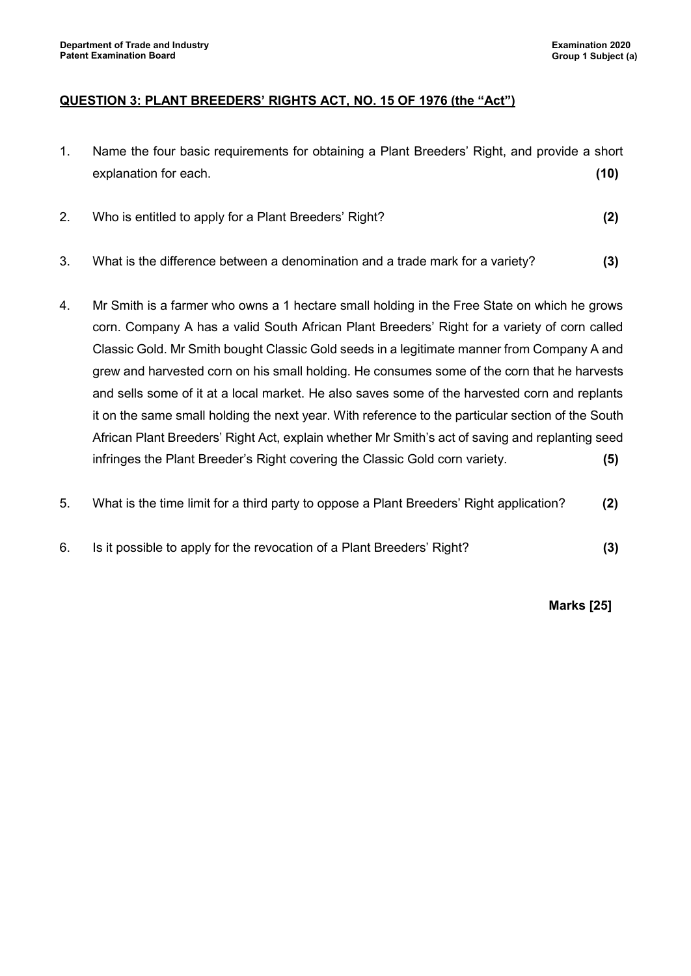## **QUESTION 3: PLANT BREEDERS' RIGHTS ACT, NO. 15 OF 1976 (the "Act")**

- 1. Name the four basic requirements for obtaining a Plant Breeders' Right, and provide a short explanation for each. **(10)**
- 2. Who is entitled to apply for a Plant Breeders' Right? **(2)**
- 3. What is the difference between a denomination and a trade mark for a variety? **(3)**
- 4. Mr Smith is a farmer who owns a 1 hectare small holding in the Free State on which he grows corn. Company A has a valid South African Plant Breeders' Right for a variety of corn called Classic Gold. Mr Smith bought Classic Gold seeds in a legitimate manner from Company A and grew and harvested corn on his small holding. He consumes some of the corn that he harvests and sells some of it at a local market. He also saves some of the harvested corn and replants it on the same small holding the next year. With reference to the particular section of the South African Plant Breeders' Right Act, explain whether Mr Smith's act of saving and replanting seed infringes the Plant Breeder's Right covering the Classic Gold corn variety. **(5)**
- 5. What is the time limit for a third party to oppose a Plant Breeders' Right application? **(2)**
- 6. Is it possible to apply for the revocation of a Plant Breeders' Right? **(3)**

**Marks [25]**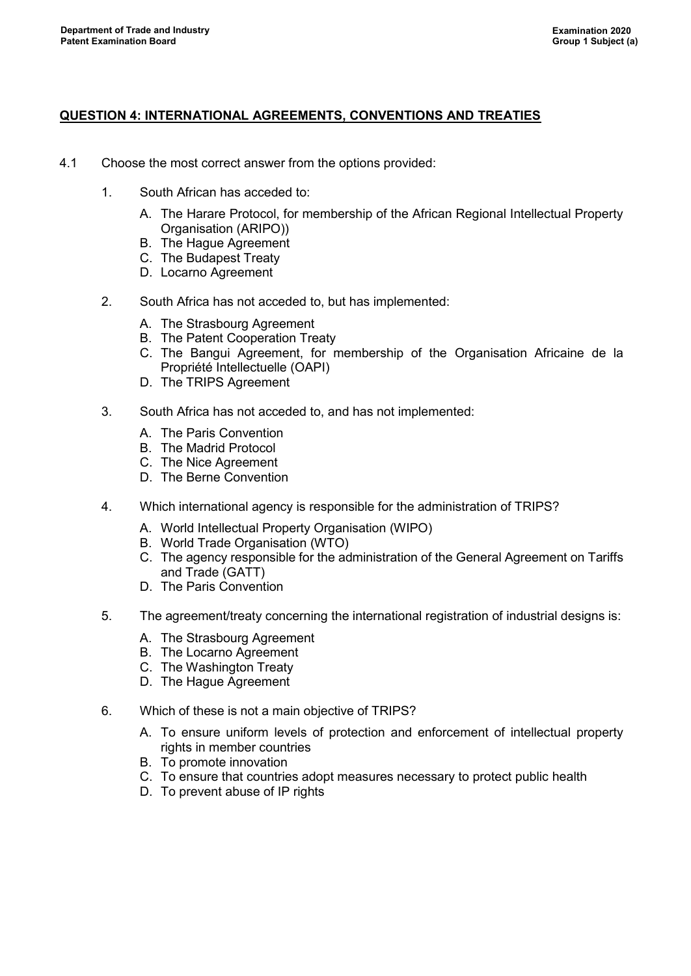### **QUESTION 4: INTERNATIONAL AGREEMENTS, CONVENTIONS AND TREATIES**

- 4.1 Choose the most correct answer from the options provided:
	- 1. South African has acceded to:
		- A. The Harare Protocol, for membership of the African Regional Intellectual Property Organisation (ARIPO))
		- B. The Hague Agreement
		- C. The Budapest Treaty
		- D. Locarno Agreement
	- 2. South Africa has not acceded to, but has implemented:
		- A. The Strasbourg Agreement
		- B. The Patent Cooperation Treaty
		- C. The Bangui Agreement, for membership of the Organisation Africaine de la Propriété Intellectuelle (OAPI)
		- D. The TRIPS Agreement
	- 3. South Africa has not acceded to, and has not implemented:
		- A. The Paris Convention
		- B. The Madrid Protocol
		- C. The Nice Agreement
		- D. The Berne Convention
	- 4. Which international agency is responsible for the administration of TRIPS?
		- A. World Intellectual Property Organisation (WIPO)
		- B. World Trade Organisation (WTO)
		- C. The agency responsible for the administration of the General Agreement on Tariffs and Trade (GATT)
		- D. The Paris Convention
	- 5. The agreement/treaty concerning the international registration of industrial designs is:
		- A. The Strasbourg Agreement
		- B. The Locarno Agreement
		- C. The Washington Treaty
		- D. The Hague Agreement
	- 6. Which of these is not a main objective of TRIPS?
		- A. To ensure uniform levels of protection and enforcement of intellectual property rights in member countries
		- B. To promote innovation
		- C. To ensure that countries adopt measures necessary to protect public health
		- D. To prevent abuse of IP rights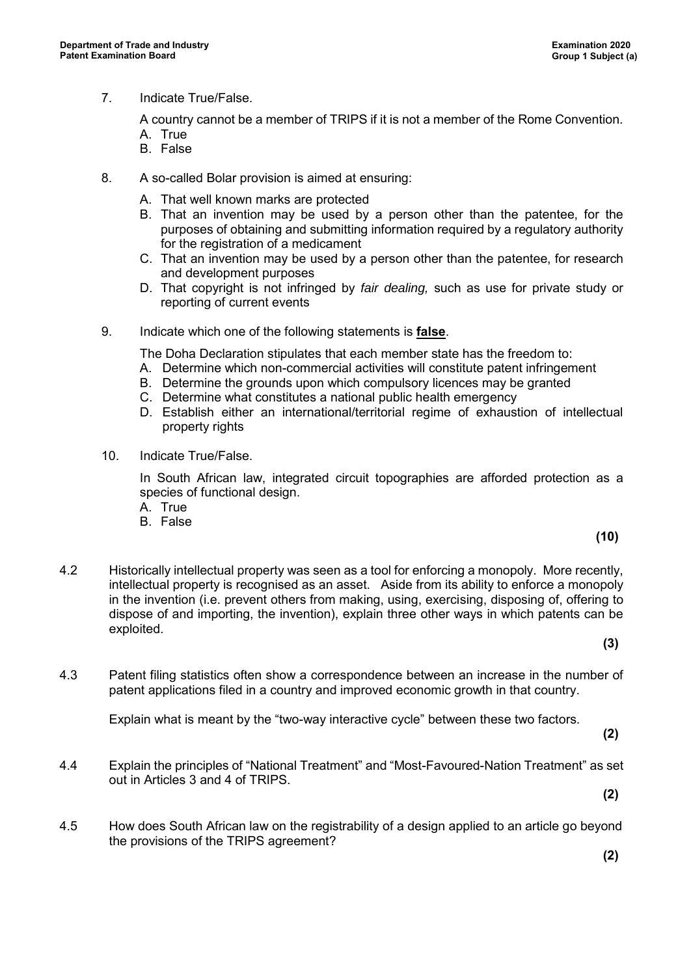7. Indicate True/False.

A country cannot be a member of TRIPS if it is not a member of the Rome Convention.

- A. True B. False
- 8. A so-called Bolar provision is aimed at ensuring:
	- A. That well known marks are protected
	- B. That an invention may be used by a person other than the patentee, for the purposes of obtaining and submitting information required by a regulatory authority for the registration of a medicament
	- C. That an invention may be used by a person other than the patentee, for research and development purposes
	- D. That copyright is not infringed by *fair dealing,* such as use for private study or reporting of current events
- 9. Indicate which one of the following statements is **false**.

The Doha Declaration stipulates that each member state has the freedom to:

- A. Determine which non-commercial activities will constitute patent infringement
- B. Determine the grounds upon which compulsory licences may be granted
- C. Determine what constitutes a national public health emergency
- D. Establish either an international/territorial regime of exhaustion of intellectual property rights
- 10. Indicate True/False.

In South African law, integrated circuit topographies are afforded protection as a species of functional design.

- A. True
- B. False
- 4.2 Historically intellectual property was seen as a tool for enforcing a monopoly. More recently, intellectual property is recognised as an asset. Aside from its ability to enforce a monopoly in the invention (i.e. prevent others from making, using, exercising, disposing of, offering to dispose of and importing, the invention), explain three other ways in which patents can be exploited.

**(3)**

**(10)**

4.3 Patent filing statistics often show a correspondence between an increase in the number of patent applications filed in a country and improved economic growth in that country.

Explain what is meant by the "two-way interactive cycle" between these two factors.

- **(2)**
- 4.4 Explain the principles of "National Treatment" and "Most-Favoured-Nation Treatment" as set out in Articles 3 and 4 of TRIPS.

**(2)**

4.5 How does South African law on the registrability of a design applied to an article go beyond the provisions of the TRIPS agreement?

**(2)**